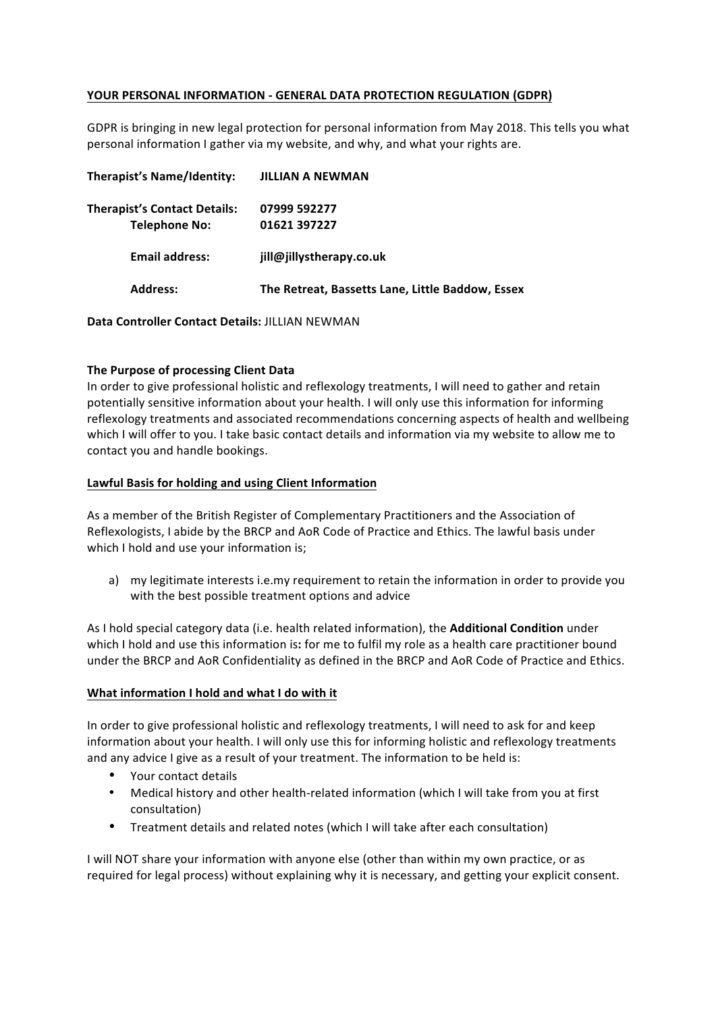# **YOUR PERSONAL INFORMATION - GENERAL DATA PROTECTION REGULATION (GDPR)**

GDPR is bringing in new legal protection for personal information from May 2018. This tells you what personal information I gather via my website, and why, and what your rights are.

| Therapist's Name/Identity:          | JILLIAN A NEWMAN                                 |
|-------------------------------------|--------------------------------------------------|
| <b>Therapist's Contact Details:</b> | 07999 592277                                     |
| <b>Telephone No:</b>                | 01621 397227                                     |
| <b>Email address:</b>               | jill@jillystherapy.co.uk                         |
| <b>Address:</b>                     | The Retreat, Bassetts Lane, Little Baddow, Essex |

**Data Controller Contact Details: JILLIAN NEWMAN** 

#### **The Purpose of processing Client Data**

In order to give professional holistic and reflexology treatments, I will need to gather and retain potentially sensitive information about your health. I will only use this information for informing reflexology treatments and associated recommendations concerning aspects of health and wellbeing which I will offer to you. I take basic contact details and information via my website to allow me to contact you and handle bookings.

#### Lawful Basis for holding and using Client Information

As a member of the British Register of Complementary Practitioners and the Association of Reflexologists, I abide by the BRCP and AoR Code of Practice and Ethics. The lawful basis under which I hold and use your information is;

a) my legitimate interests i.e.my requirement to retain the information in order to provide you with the best possible treatment options and advice

As I hold special category data (i.e. health related information), the **Additional Condition** under which I hold and use this information is: for me to fulfil my role as a health care practitioner bound under the BRCP and AoR Confidentiality as defined in the BRCP and AoR Code of Practice and Ethics.

#### What information I hold and what I do with it

In order to give professional holistic and reflexology treatments, I will need to ask for and keep information about your health. I will only use this for informing holistic and reflexology treatments and any advice I give as a result of your treatment. The information to be held is:

- Your contact details
- Medical history and other health-related information (which I will take from you at first consultation)
- Treatment details and related notes (which I will take after each consultation)

I will NOT share your information with anyone else (other than within my own practice, or as required for legal process) without explaining why it is necessary, and getting your explicit consent.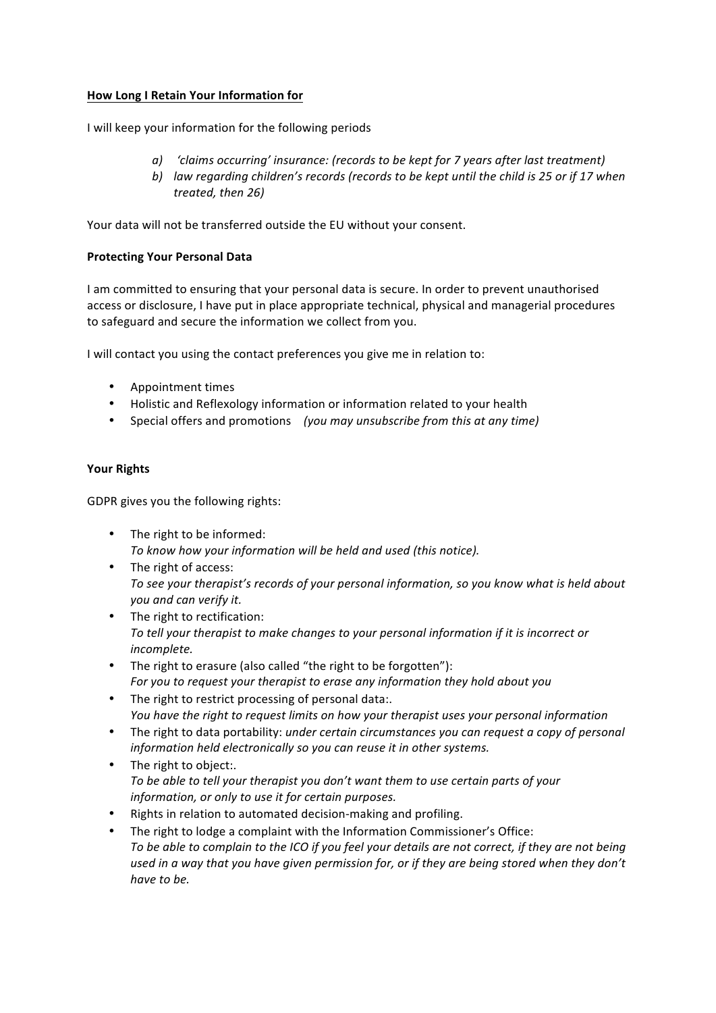# **How Long I Retain Your Information for**

I will keep your information for the following periods

- *a*) *'claims occurring' insurance: (records to be kept for 7 years after last treatment)*
- *b*) law regarding children's records (records to be kept until the child is 25 or if 17 when *treated, then 26)*

Your data will not be transferred outside the EU without your consent.

# **Protecting Your Personal Data**

I am committed to ensuring that your personal data is secure. In order to prevent unauthorised access or disclosure, I have put in place appropriate technical, physical and managerial procedures to safeguard and secure the information we collect from you.

I will contact you using the contact preferences you give me in relation to:

- Appointment times
- Holistic and Reflexology information or information related to your health
- Special offers and promotions (you may unsubscribe from this at any time)

# **Your Rights**

GDPR gives you the following rights:

- The right to be informed: To know how your information will be held and used (this notice).
- The right of access: To see your therapist's records of your personal information, so you know what is held about *you and can verify it.*
- The right to rectification: To tell your therapist to make changes to your personal information if it is incorrect or *incomplete.*
- The right to erasure (also called "the right to be forgotten"): For you to request your therapist to erase any information they hold about you
- The right to restrict processing of personal data:. You have the right to request limits on how your therapist uses your personal information
- The right to data portability: *under certain circumstances you can request a copy of personal information held electronically so you can reuse it in other systems.*
- The right to object:. To be able to tell your therapist you don't want them to use certain parts of your information, or only to use it for certain purposes.
- Rights in relation to automated decision-making and profiling.
- The right to lodge a complaint with the Information Commissioner's Office: To be able to complain to the ICO if you feel your details are not correct, if they are not being used in a way that you have given permission for, or if they are being stored when they don't *have to be.*